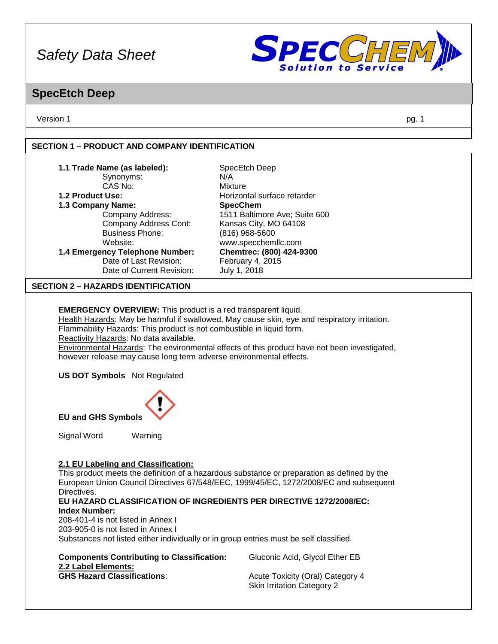

### **SpecEtch Deep**

Version 1 pg. 1

#### **SECTION 1 – PRODUCT AND COMPANY IDENTIFICATION**

| 1.1 Trade Name (as labeled):              | SpecEtch Deep                 |
|-------------------------------------------|-------------------------------|
| Synonyms:                                 | N/A                           |
| CAS No:                                   | Mixture                       |
| 1.2 Product Use:                          | Horizontal surface retarder   |
| 1.3 Company Name:                         | <b>SpecChem</b>               |
| Company Address:                          | 1511 Baltimore Ave; Suite 600 |
| Company Address Cont:                     | Kansas City, MO 64108         |
| <b>Business Phone:</b>                    | (816) 968-5600                |
| Website:                                  | www.specchemllc.com           |
| 1.4 Emergency Telephone Number:           | Chemtrec: (800) 424-9300      |
| Date of Last Revision:                    | February 4, 2015              |
| Date of Current Revision:                 | July 1, 2018                  |
| <b>SECTION 2 - HAZARDS IDENTIFICATION</b> |                               |
|                                           |                               |

**EMERGENCY OVERVIEW:** This product is a red transparent liquid.

Health Hazards: May be harmful if swallowed. May cause skin, eye and respiratory irritation.

Flammability Hazards: This product is not combustible in liquid form.

Reactivity Hazards: No data available.

Environmental Hazards: The environmental effects of this product have not been investigated, however release may cause long term adverse environmental effects.

**US DOT Symbols** Not Regulated



**EU and GHS Symbols**

Signal Word Warning

#### **2.1 EU Labeling and Classification:**

This product meets the definition of a hazardous substance or preparation as defined by the European Union Council Directives 67/548/EEC, 1999/45/EC, 1272/2008/EC and subsequent Directives.

**EU HAZARD CLASSIFICATION OF INGREDIENTS PER DIRECTIVE 1272/2008/EC: Index Number:**

208-401-4 is not listed in Annex I 203-905-0 is not listed in Annex I Substances not listed either individually or in group entries must be self classified.

| <b>Components Contributing to Classification:</b> |
|---------------------------------------------------|
| 2.2 Label Elements:                               |
| <b>GHS Hazard Classifications:</b>                |

Gluconic Acid, Glycol Ether EB

**Acute Toxicity (Oral) Category 4** Skin Irritation Category 2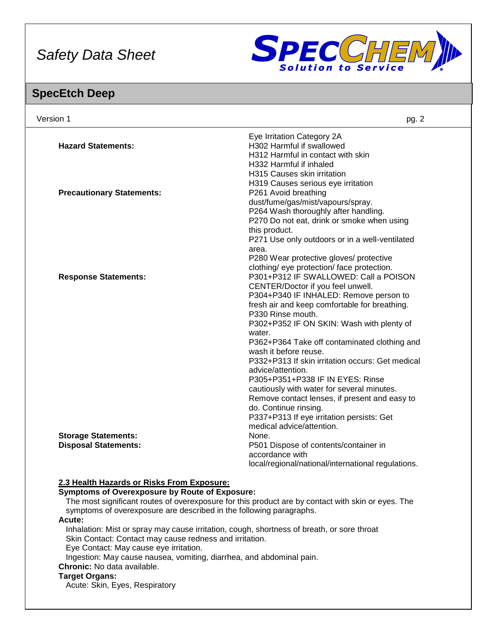

## **SpecEtch Deep**

| Version 1                                                           | pg. 2                                                                                              |
|---------------------------------------------------------------------|----------------------------------------------------------------------------------------------------|
|                                                                     | Eye Irritation Category 2A                                                                         |
| <b>Hazard Statements:</b>                                           | H302 Harmful if swallowed                                                                          |
|                                                                     | H312 Harmful in contact with skin                                                                  |
|                                                                     | H332 Harmful if inhaled                                                                            |
|                                                                     | H315 Causes skin irritation                                                                        |
|                                                                     | H319 Causes serious eye irritation                                                                 |
| <b>Precautionary Statements:</b>                                    | P261 Avoid breathing                                                                               |
|                                                                     | dust/fume/gas/mist/vapours/spray.                                                                  |
|                                                                     | P264 Wash thoroughly after handling.                                                               |
|                                                                     | P270 Do not eat, drink or smoke when using                                                         |
|                                                                     | this product.                                                                                      |
|                                                                     | P271 Use only outdoors or in a well-ventilated                                                     |
|                                                                     | area.                                                                                              |
|                                                                     | P280 Wear protective gloves/ protective                                                            |
|                                                                     | clothing/ eye protection/ face protection.                                                         |
| <b>Response Statements:</b>                                         | P301+P312 IF SWALLOWED: Call a POISON                                                              |
|                                                                     | CENTER/Doctor if you feel unwell.                                                                  |
|                                                                     | P304+P340 IF INHALED: Remove person to                                                             |
|                                                                     | fresh air and keep comfortable for breathing.                                                      |
|                                                                     | P330 Rinse mouth.                                                                                  |
|                                                                     | P302+P352 IF ON SKIN: Wash with plenty of                                                          |
|                                                                     | water.                                                                                             |
|                                                                     | P362+P364 Take off contaminated clothing and                                                       |
|                                                                     | wash it before reuse.                                                                              |
|                                                                     | P332+P313 If skin irritation occurs: Get medical                                                   |
|                                                                     | advice/attention.                                                                                  |
|                                                                     | P305+P351+P338 IF IN EYES: Rinse                                                                   |
|                                                                     | cautiously with water for several minutes.                                                         |
|                                                                     | Remove contact lenses, if present and easy to                                                      |
|                                                                     | do. Continue rinsing.                                                                              |
|                                                                     | P337+P313 If eye irritation persists: Get                                                          |
|                                                                     | medical advice/attention.                                                                          |
| <b>Storage Statements:</b>                                          | None.                                                                                              |
| <b>Disposal Statements:</b>                                         | P501 Dispose of contents/container in                                                              |
|                                                                     | accordance with                                                                                    |
|                                                                     | local/regional/national/international regulations.                                                 |
| 2.3 Health Hazards or Risks From Exposure:                          |                                                                                                    |
| <b>Symptoms of Overexposure by Route of Exposure:</b>               |                                                                                                    |
|                                                                     | The most significant routes of overexposure for this product are by contact with skin or eyes. The |
| symptoms of overexposure are described in the following paragraphs. |                                                                                                    |
| Acute:                                                              |                                                                                                    |
|                                                                     | Inhalation: Mist or spray may cause irritation, cough, shortness of breath, or sore throat         |
| Skin Contact: Contact may cause redness and irritation.             |                                                                                                    |
| Eve Contact: May cause ave irritation                               |                                                                                                    |

Eye Contact: May cause eye irritation.

Ingestion: May cause nausea, vomiting, diarrhea, and abdominal pain.

**Chronic:** No data available.

#### **Target Organs:**

Acute: Skin, Eyes, Respiratory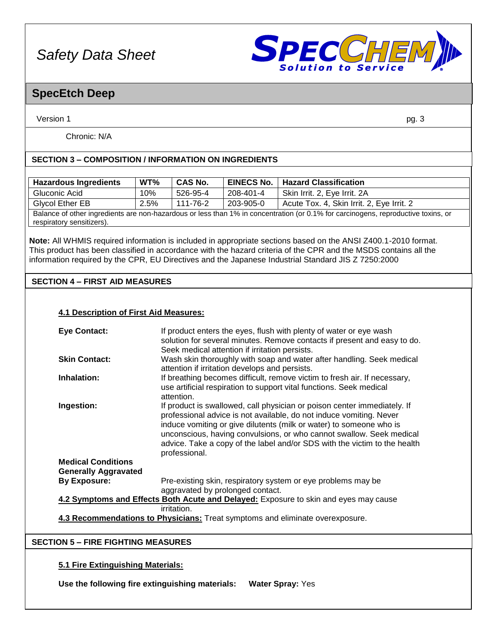

### **SpecEtch Deep**

Version 1 pg. 3

Chronic: N/A

#### **SECTION 3 – COMPOSITION / INFORMATION ON INGREDIENTS**

| <b>Hazardous Ingredients</b>                                                                                                      | $WT\%$ | <b>CAS No.</b> | <b>EINECS No.</b> 1 | <b>Hazard Classification</b>              |
|-----------------------------------------------------------------------------------------------------------------------------------|--------|----------------|---------------------|-------------------------------------------|
| Gluconic Acid                                                                                                                     | 10%    | 526-95-4       | 208-401-4           | Skin Irrit. 2, Eye Irrit. 2A              |
| Glycol Ether EB                                                                                                                   | 2.5%   | 111-76-2       | 203-905-0           | Acute Tox. 4, Skin Irrit. 2, Eye Irrit. 2 |
| Balance of other ingredients are non-hazardous or less than 1% in concentration (or 0.1% for carcinogens, reproductive toxins, or |        |                |                     |                                           |
| respiratory sensitizers).                                                                                                         |        |                |                     |                                           |

**Note:** All WHMIS required information is included in appropriate sections based on the ANSI Z400.1-2010 format. This product has been classified in accordance with the hazard criteria of the CPR and the MSDS contains all the information required by the CPR, EU Directives and the Japanese Industrial Standard JIS Z 7250:2000

#### **SECTION 4 – FIRST AID MEASURES**

#### **4.1 Description of First Aid Measures:**

| <b>Eye Contact:</b>                                                                  | If product enters the eyes, flush with plenty of water or eye wash        |  |  |
|--------------------------------------------------------------------------------------|---------------------------------------------------------------------------|--|--|
|                                                                                      | solution for several minutes. Remove contacts if present and easy to do.  |  |  |
|                                                                                      | Seek medical attention if irritation persists.                            |  |  |
| <b>Skin Contact:</b>                                                                 | Wash skin thoroughly with soap and water after handling. Seek medical     |  |  |
|                                                                                      | attention if irritation develops and persists.                            |  |  |
| Inhalation:                                                                          | If breathing becomes difficult, remove victim to fresh air. If necessary, |  |  |
|                                                                                      | use artificial respiration to support vital functions. Seek medical       |  |  |
|                                                                                      | attention.                                                                |  |  |
| Ingestion:                                                                           | If product is swallowed, call physician or poison center immediately. If  |  |  |
|                                                                                      | professional advice is not available, do not induce vomiting. Never       |  |  |
|                                                                                      |                                                                           |  |  |
|                                                                                      | induce vomiting or give dilutents (milk or water) to someone who is       |  |  |
|                                                                                      | unconscious, having convulsions, or who cannot swallow. Seek medical      |  |  |
|                                                                                      | advice. Take a copy of the label and/or SDS with the victim to the health |  |  |
|                                                                                      | professional.                                                             |  |  |
| <b>Medical Conditions</b>                                                            |                                                                           |  |  |
| <b>Generally Aggravated</b>                                                          |                                                                           |  |  |
| <b>By Exposure:</b>                                                                  | Pre-existing skin, respiratory system or eye problems may be              |  |  |
|                                                                                      | aggravated by prolonged contact.                                          |  |  |
| 4.2 Symptoms and Effects Both Acute and Delayed: Exposure to skin and eyes may cause |                                                                           |  |  |
|                                                                                      | irritation.                                                               |  |  |
| 4.3 Recommendations to Physicians: Treat symptoms and eliminate overexposure.        |                                                                           |  |  |
|                                                                                      |                                                                           |  |  |
| <b>SECTION 5 - FIRE FIGHTING MEASURES</b>                                            |                                                                           |  |  |
|                                                                                      |                                                                           |  |  |

#### **5.1 Fire Extinguishing Materials:**

**Use the following fire extinguishing materials: Water Spray:** Yes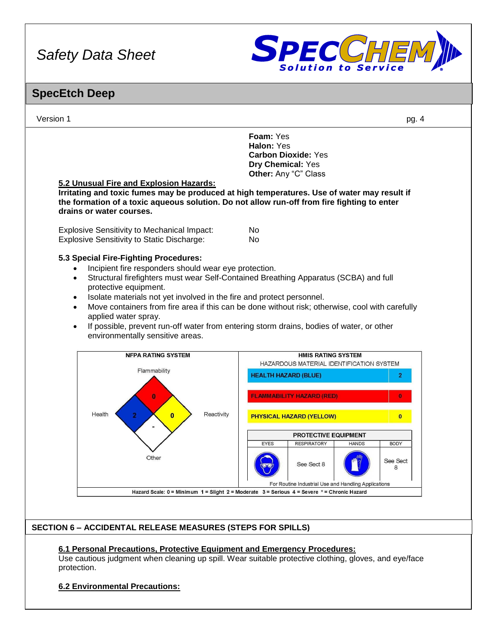

### **SpecEtch Deep**



#### **6.1 Personal Precautions, Protective Equipment and Emergency Procedures:**

Use cautious judgment when cleaning up spill. Wear suitable protective clothing, gloves, and eye/face protection.

#### **6.2 Environmental Precautions:**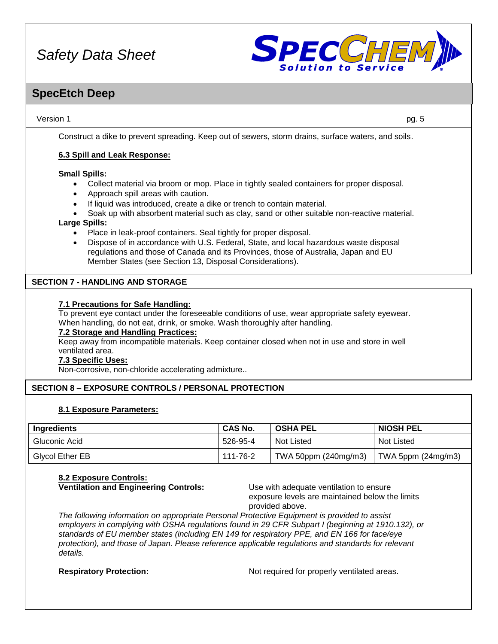

### **SpecEtch Deep**

Version 1 pg. 5

Construct a dike to prevent spreading. Keep out of sewers, storm drains, surface waters, and soils.

#### **6.3 Spill and Leak Response:**

#### **Small Spills:**

- Collect material via broom or mop. Place in tightly sealed containers for proper disposal.
- Approach spill areas with caution.
- If liquid was introduced, create a dike or trench to contain material.
- Soak up with absorbent material such as clay, sand or other suitable non-reactive material.

#### **Large Spills:**

- Place in leak-proof containers. Seal tightly for proper disposal.
- Dispose of in accordance with U.S. Federal, State, and local hazardous waste disposal regulations and those of Canada and its Provinces, those of Australia, Japan and EU Member States (see Section 13, Disposal Considerations).

#### **SECTION 7 - HANDLING AND STORAGE**

#### **7.1 Precautions for Safe Handling:**

To prevent eye contact under the foreseeable conditions of use, wear appropriate safety eyewear. When handling, do not eat, drink, or smoke. Wash thoroughly after handling.

#### **7.2 Storage and Handling Practices:**

Keep away from incompatible materials. Keep container closed when not in use and store in well ventilated area.

#### **7.3 Specific Uses:**

Non-corrosive, non-chloride accelerating admixture..

#### **SECTION 8 – EXPOSURE CONTROLS / PERSONAL PROTECTION**

#### **8.1 Exposure Parameters:**

| Ingredients            | <b>CAS No.</b> | <b>OSHA PEL</b>      | <b>NIOSH PEL</b>     |
|------------------------|----------------|----------------------|----------------------|
| Gluconic Acid          | 526-95-4       | Not Listed           | <b>Not Listed</b>    |
| <b>Givcol Ether EB</b> | 111-76-2       | TWA 50ppm (240mg/m3) | TWA 5ppm $(24mg/m3)$ |

### **8.2 Exposure Controls:**

**Ventilation and Engineering Controls:** Use with adequate ventilation to ensure

exposure levels are maintained below the limits provided above.

*The following information on appropriate Personal Protective Equipment is provided to assist employers in complying with OSHA regulations found in 29 CFR Subpart I (beginning at 1910.132), or standards of EU member states (including EN 149 for respiratory PPE, and EN 166 for face/eye protection), and those of Japan. Please reference applicable regulations and standards for relevant details.*

**Respiratory Protection:** Not required for properly ventilated areas.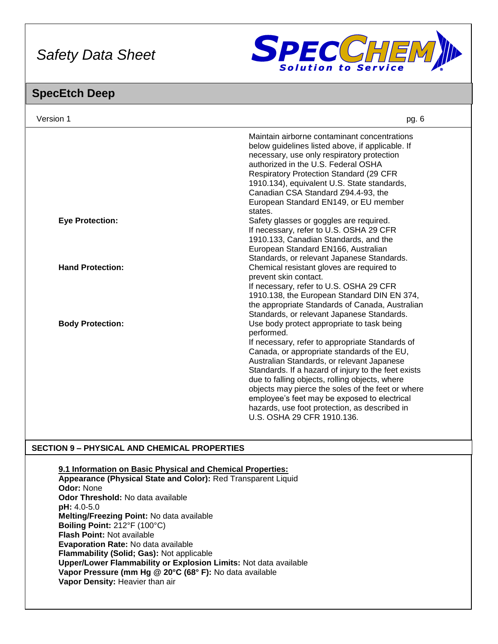

### **SpecEtch Deep**

| Version 1               | pg. 6                                                                                                                                                                                                                                                                                                                                                                                                                                                                                                 |
|-------------------------|-------------------------------------------------------------------------------------------------------------------------------------------------------------------------------------------------------------------------------------------------------------------------------------------------------------------------------------------------------------------------------------------------------------------------------------------------------------------------------------------------------|
|                         | Maintain airborne contaminant concentrations<br>below guidelines listed above, if applicable. If<br>necessary, use only respiratory protection<br>authorized in the U.S. Federal OSHA<br><b>Respiratory Protection Standard (29 CFR)</b><br>1910.134), equivalent U.S. State standards,<br>Canadian CSA Standard Z94.4-93, the<br>European Standard EN149, or EU member<br>states.                                                                                                                    |
| <b>Eye Protection:</b>  | Safety glasses or goggles are required.<br>If necessary, refer to U.S. OSHA 29 CFR<br>1910.133, Canadian Standards, and the<br>European Standard EN166, Australian<br>Standards, or relevant Japanese Standards.                                                                                                                                                                                                                                                                                      |
| <b>Hand Protection:</b> | Chemical resistant gloves are required to<br>prevent skin contact.<br>If necessary, refer to U.S. OSHA 29 CFR<br>1910.138, the European Standard DIN EN 374,<br>the appropriate Standards of Canada, Australian<br>Standards, or relevant Japanese Standards.                                                                                                                                                                                                                                         |
| <b>Body Protection:</b> | Use body protect appropriate to task being<br>performed.<br>If necessary, refer to appropriate Standards of<br>Canada, or appropriate standards of the EU,<br>Australian Standards, or relevant Japanese<br>Standards. If a hazard of injury to the feet exists<br>due to falling objects, rolling objects, where<br>objects may pierce the soles of the feet or where<br>employee's feet may be exposed to electrical<br>hazards, use foot protection, as described in<br>U.S. OSHA 29 CFR 1910.136. |

#### **SECTION 9 – PHYSICAL AND CHEMICAL PROPERTIES**

**9.1 Information on Basic Physical and Chemical Properties:**

**Appearance (Physical State and Color):** Red Transparent Liquid **Odor:** None **Odor Threshold:** No data available **pH:** 4.0-5.0 **Melting/Freezing Point:** No data available **Boiling Point:** 212°F (100°C) **Flash Point:** Not available **Evaporation Rate:** No data available **Flammability (Solid; Gas):** Not applicable **Upper/Lower Flammability or Explosion Limits:** Not data available **Vapor Pressure (mm Hg @ 20°C (68° F):** No data available **Vapor Density:** Heavier than air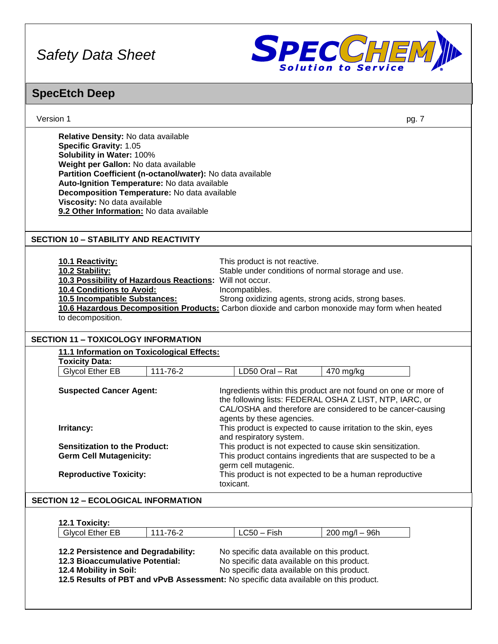

## **SpecEtch Deep**

| Version 1                                                                                                                                                                                                                                                                                                                                                                                                          | pg. 7                                                                                                                                                                                                                                                           |  |
|--------------------------------------------------------------------------------------------------------------------------------------------------------------------------------------------------------------------------------------------------------------------------------------------------------------------------------------------------------------------------------------------------------------------|-----------------------------------------------------------------------------------------------------------------------------------------------------------------------------------------------------------------------------------------------------------------|--|
| Relative Density: No data available<br><b>Specific Gravity: 1.05</b><br>Solubility in Water: 100%<br>Weight per Gallon: No data available<br>Partition Coefficient (n-octanol/water): No data available<br>Auto-Ignition Temperature: No data available<br>Decomposition Temperature: No data available<br>Viscosity: No data available<br>9.2 Other Information: No data available                                |                                                                                                                                                                                                                                                                 |  |
| <b>SECTION 10 - STABILITY AND REACTIVITY</b>                                                                                                                                                                                                                                                                                                                                                                       |                                                                                                                                                                                                                                                                 |  |
| 10.1 Reactivity:<br>10.2 Stability:<br>10.3 Possibility of Hazardous Reactions: Will not occur.<br>10.4 Conditions to Avoid:<br>10.5 Incompatible Substances:<br>to decomposition.                                                                                                                                                                                                                                 | This product is not reactive.<br>Stable under conditions of normal storage and use.<br>Incompatibles.<br>Strong oxidizing agents, strong acids, strong bases.<br>10.6 Hazardous Decomposition Products: Carbon dioxide and carbon monoxide may form when heated |  |
| <b>SECTION 11 - TOXICOLOGY INFORMATION</b>                                                                                                                                                                                                                                                                                                                                                                         |                                                                                                                                                                                                                                                                 |  |
| 11.1 Information on Toxicological Effects:<br><b>Toxicity Data:</b>                                                                                                                                                                                                                                                                                                                                                |                                                                                                                                                                                                                                                                 |  |
| 111-76-2<br><b>Glycol Ether EB</b>                                                                                                                                                                                                                                                                                                                                                                                 | LD50 Oral - Rat<br>470 mg/kg                                                                                                                                                                                                                                    |  |
| <b>Suspected Cancer Agent:</b>                                                                                                                                                                                                                                                                                                                                                                                     | Ingredients within this product are not found on one or more of<br>the following lists: FEDERAL OSHA Z LIST, NTP, IARC, or<br>CAL/OSHA and therefore are considered to be cancer-causing<br>agents by these agencies.                                           |  |
| Irritancy:                                                                                                                                                                                                                                                                                                                                                                                                         | This product is expected to cause irritation to the skin, eyes<br>and respiratory system.                                                                                                                                                                       |  |
| <b>Sensitization to the Product:</b><br><b>Germ Cell Mutagenicity:</b>                                                                                                                                                                                                                                                                                                                                             | This product is not expected to cause skin sensitization.<br>This product contains ingredients that are suspected to be a<br>germ cell mutagenic.                                                                                                               |  |
| <b>Reproductive Toxicity:</b>                                                                                                                                                                                                                                                                                                                                                                                      | This product is not expected to be a human reproductive<br>toxicant.                                                                                                                                                                                            |  |
| <b>SECTION 12 - ECOLOGICAL INFORMATION</b>                                                                                                                                                                                                                                                                                                                                                                         |                                                                                                                                                                                                                                                                 |  |
|                                                                                                                                                                                                                                                                                                                                                                                                                    |                                                                                                                                                                                                                                                                 |  |
| 12.1 Toxicity:                                                                                                                                                                                                                                                                                                                                                                                                     |                                                                                                                                                                                                                                                                 |  |
| 111-76-2<br><b>Glycol Ether EB</b><br>$LC50 - Fish$<br>$200$ mg/l $-$ 96h<br>12.2 Persistence and Degradability:<br>No specific data available on this product.<br>12.3 Bioaccumulative Potential:<br>No specific data available on this product.<br>12.4 Mobility in Soil:<br>No specific data available on this product.<br>12.5 Results of PBT and vPvB Assessment: No specific data available on this product. |                                                                                                                                                                                                                                                                 |  |
|                                                                                                                                                                                                                                                                                                                                                                                                                    |                                                                                                                                                                                                                                                                 |  |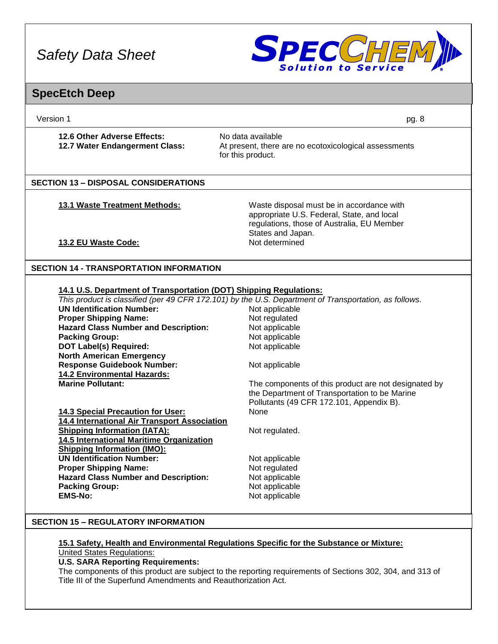

### **SpecEtch Deep**

| Version 1                                                          | pg. 8                                                                                                                                                      |
|--------------------------------------------------------------------|------------------------------------------------------------------------------------------------------------------------------------------------------------|
| 12.6 Other Adverse Effects:<br>12.7 Water Endangerment Class:      | No data available<br>At present, there are no ecotoxicological assessments<br>for this product.                                                            |
| <b>SECTION 13 - DISPOSAL CONSIDERATIONS</b>                        |                                                                                                                                                            |
| <b>13.1 Waste Treatment Methods:</b>                               | Waste disposal must be in accordance with<br>appropriate U.S. Federal, State, and local<br>regulations, those of Australia, EU Member<br>States and Japan. |
| 13.2 EU Waste Code:                                                | Not determined                                                                                                                                             |
| <b>SECTION 14 - TRANSPORTATION INFORMATION</b>                     |                                                                                                                                                            |
|                                                                    |                                                                                                                                                            |
| 14.1 U.S. Department of Transportation (DOT) Shipping Regulations: |                                                                                                                                                            |
|                                                                    | This product is classified (per 49 CFR 172.101) by the U.S. Department of Transportation, as follows.                                                      |
| <b>UN Identification Number:</b>                                   | Not applicable                                                                                                                                             |
| <b>Proper Shipping Name:</b>                                       | Not regulated                                                                                                                                              |
| <b>Hazard Class Number and Description:</b>                        | Not applicable                                                                                                                                             |
| <b>Packing Group:</b>                                              | Not applicable                                                                                                                                             |
| <b>DOT Label(s) Required:</b>                                      | Not applicable                                                                                                                                             |
| <b>North American Emergency</b>                                    |                                                                                                                                                            |
| <b>Response Guidebook Number:</b>                                  | Not applicable                                                                                                                                             |
| <b>14.2 Environmental Hazards:</b>                                 |                                                                                                                                                            |
| <b>Marine Pollutant:</b>                                           | The components of this product are not designated by                                                                                                       |
|                                                                    | the Department of Transportation to be Marine<br>Pollutants (49 CFR 172.101, Appendix B).                                                                  |
| 14.3 Special Precaution for User:                                  | None                                                                                                                                                       |
| 14.4 International Air Transport Association                       |                                                                                                                                                            |
| <b>Shipping Information (IATA):</b>                                | Not regulated.                                                                                                                                             |
| 14.5 International Maritime Organization                           |                                                                                                                                                            |
| <b>Shipping Information (IMO):</b>                                 |                                                                                                                                                            |
| <b>UN Identification Number:</b>                                   | Not applicable                                                                                                                                             |
| <b>Proper Shipping Name:</b>                                       | Not regulated                                                                                                                                              |
| <b>Hazard Class Number and Description:</b>                        | Not applicable                                                                                                                                             |
| <b>Packing Group:</b>                                              | Not applicable                                                                                                                                             |
| <b>EMS-No:</b>                                                     | Not applicable                                                                                                                                             |
|                                                                    |                                                                                                                                                            |
| <b>SECTION 15 - REGULATORY INFORMATION</b>                         |                                                                                                                                                            |
|                                                                    |                                                                                                                                                            |

#### **15.1 Safety, Health and Environmental Regulations Specific for the Substance or Mixture:** United States Regulations:

**U.S. SARA Reporting Requirements:**

The components of this product are subject to the reporting requirements of Sections 302, 304, and 313 of Title III of the Superfund Amendments and Reauthorization Act.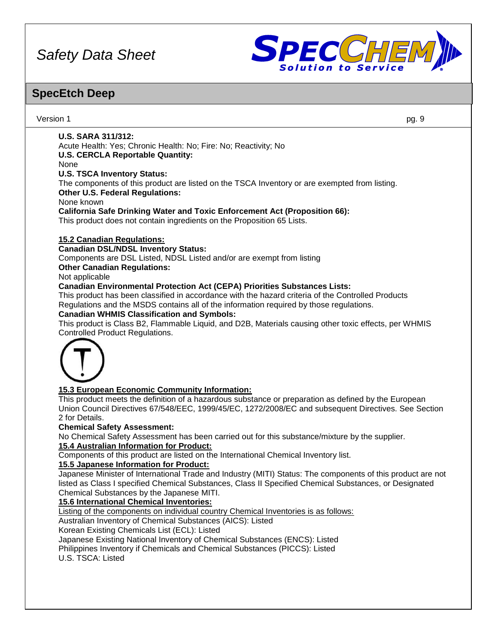

### **SpecEtch Deep**

Version 1 pg. 9 **U.S. SARA 311/312:** Acute Health: Yes; Chronic Health: No; Fire: No; Reactivity; No **U.S. CERCLA Reportable Quantity:** None **U.S. TSCA Inventory Status:** The components of this product are listed on the TSCA Inventory or are exempted from listing. **Other U.S. Federal Regulations:** None known **California Safe Drinking Water and Toxic Enforcement Act (Proposition 66):** This product does not contain ingredients on the Proposition 65 Lists. **15.2 Canadian Regulations: Canadian DSL/NDSL Inventory Status:** Components are DSL Listed, NDSL Listed and/or are exempt from listing **Other Canadian Regulations:** Not applicable **Canadian Environmental Protection Act (CEPA) Priorities Substances Lists:** This product has been classified in accordance with the hazard criteria of the Controlled Products Regulations and the MSDS contains all of the information required by those regulations. **Canadian WHMIS Classification and Symbols:** This product is Class B2, Flammable Liquid, and D2B, Materials causing other toxic effects, per WHMIS Controlled Product Regulations. **15.3 European Economic Community Information:** This product meets the definition of a hazardous substance or preparation as defined by the European Union Council Directives 67/548/EEC, 1999/45/EC, 1272/2008/EC and subsequent Directives. See Section 2 for Details. **Chemical Safety Assessment:** No Chemical Safety Assessment has been carried out for this substance/mixture by the supplier. **15.4 Australian Information for Product:** Components of this product are listed on the International Chemical Inventory list. **15.5 Japanese Information for Product:** Japanese Minister of International Trade and Industry (MITI) Status: The components of this product are not listed as Class I specified Chemical Substances, Class II Specified Chemical Substances, or Designated Chemical Substances by the Japanese MITI. **15.6 International Chemical Inventories:** Listing of the components on individual country Chemical Inventories is as follows: Australian Inventory of Chemical Substances (AICS): Listed Korean Existing Chemicals List (ECL): Listed Japanese Existing National Inventory of Chemical Substances (ENCS): Listed Philippines Inventory if Chemicals and Chemical Substances (PICCS): Listed U.S. TSCA: Listed